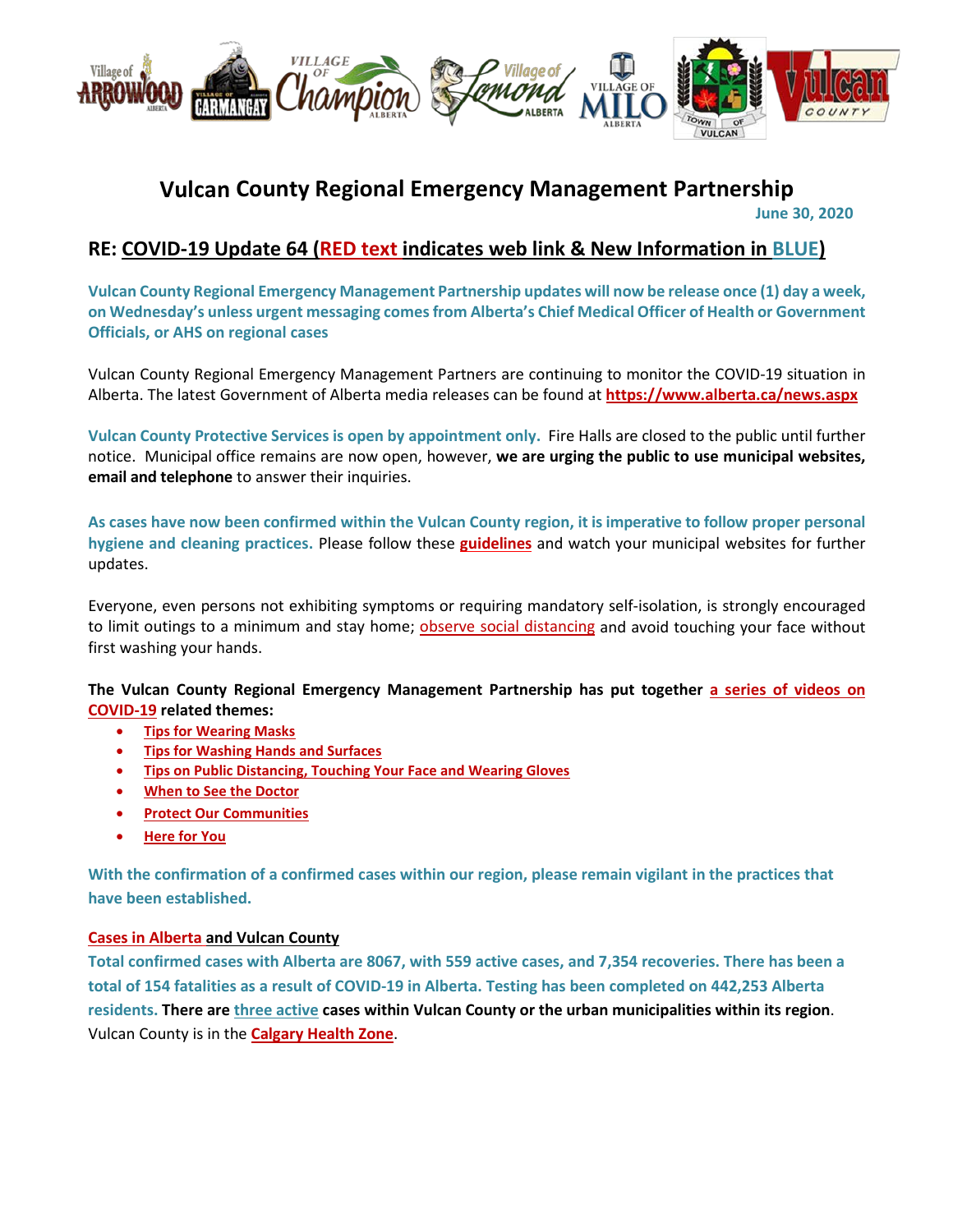

# **Vulcan County Regional Emergency Management Partnership June 30, 2020**

## **RE: COVID-19 Update 64 (RED text indicates web link & New Information in BLUE)**

**Vulcan County Regional Emergency Management Partnership updates will now be release once (1) day a week, on Wednesday's unless urgent messaging comes from Alberta's Chief Medical Officer of Health or Government Officials, or AHS on regional cases**

Vulcan County Regional Emergency Management Partners are continuing to monitor the COVID-19 situation in Alberta. The latest Government of Alberta media releases can be found at **<https://www.alberta.ca/news.aspx>**

**Vulcan County Protective Services is open by appointment only.** Fire Halls are closed to the public until further notice. Municipal office remains are now open, however, **we are urging the public to use municipal websites, email and telephone** to answer their inquiries.

**As cases have now been confirmed within the Vulcan County region, it is imperative to follow proper personal hygiene and cleaning practices.** Please follow these **[guidelines](https://www.albertahealthservices.ca/topics/Page16997.aspx#sign)** and watch your municipal websites for further updates.

Everyone, even persons not exhibiting symptoms or requiring mandatory self-isolation, is strongly encouraged to limit outings to a minimum and stay home; [observe social distancing](https://www.albertahealthservices.ca/topics/Page17008.aspx) and avoid touching your face without first washing your hands.

**The Vulcan County Regional Emergency Management Partnership has put together [a series of videos on](https://villageoflomond.ca/allremavideos/)  [COVID-19](https://villageoflomond.ca/allremavideos/) related themes:**

- **[Tips for Wearing Masks](https://youtu.be/mS2rSlOT2n0)**
- **[Tips for Washing Hands and Surfaces](https://youtu.be/pWpGo3uQe-4)**
- **[Tips on Public Distancing, Touching Your Face and Wearing](https://youtu.be/84qhhl06TII) Gloves**
- **[When to See the Doctor](https://youtu.be/raDnetqvEXk)**
- **[Protect Our Communities](https://www.youtube.com/watch?v=swS6GGn_iYg&feature=youtu.be)**
- **[Here for You](https://www.youtube.com/watch?v=QhxWFY7HuM4&feature=youtu.be)**

**With the confirmation of a confirmed cases within our region, please remain vigilant in the practices that have been established.**

#### **[Cases in Alberta](https://covid19stats.alberta.ca/) and Vulcan County**

**Total confirmed cases with Alberta are 8067, with 559 active cases, and 7,354 recoveries. There has been a total of 154 fatalities as a result of COVID-19 in Alberta. Testing has been completed on 442,253 Alberta residents. There are three active cases within Vulcan County or the urban municipalities within its region**. Vulcan County is in the **[Calgary Health Zone](https://www.albertahealthservices.ca/ahs-map-ahs-zones.pdf)**.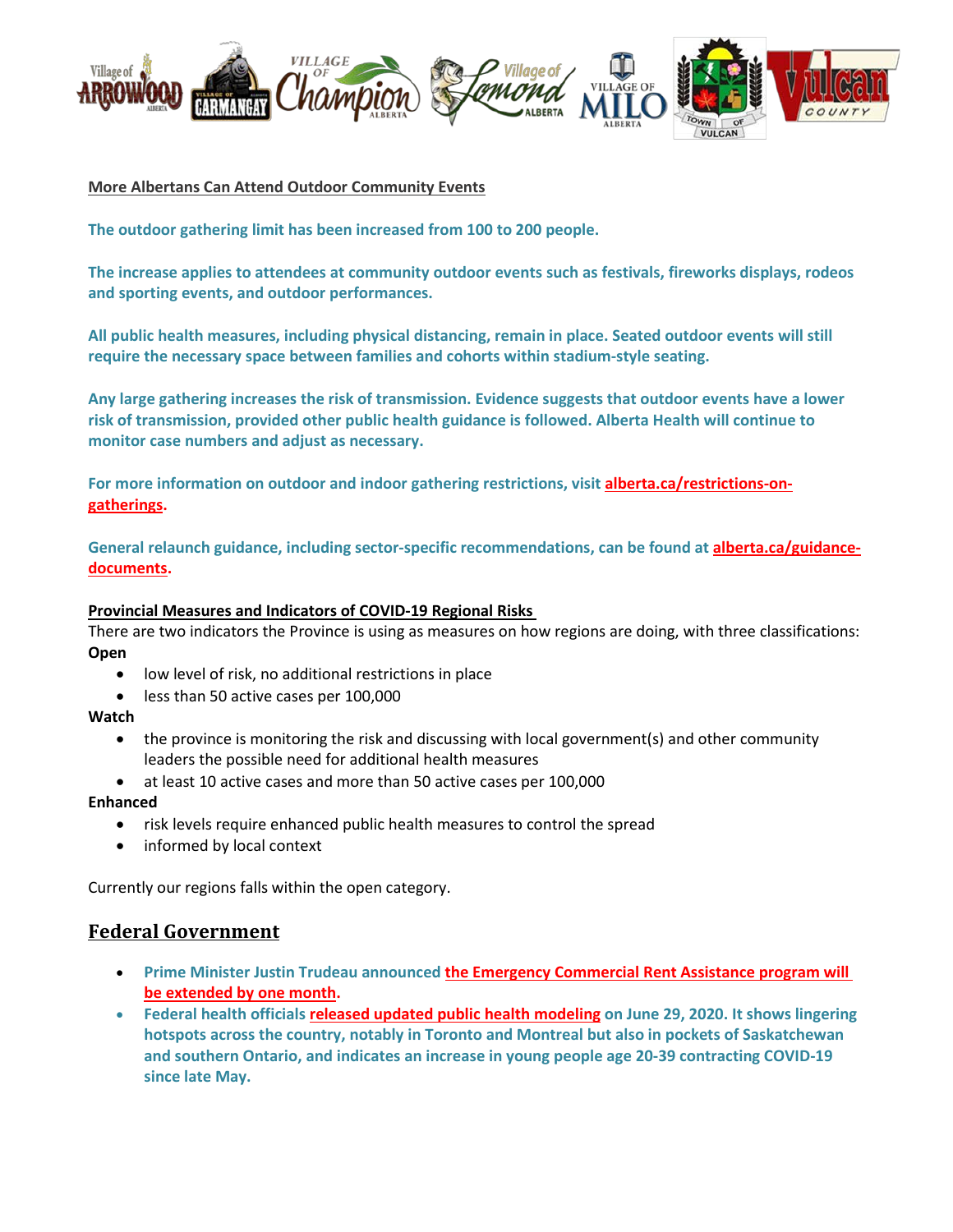

#### **More Albertans Can Attend Outdoor Community Events**

**The outdoor gathering limit has been increased from 100 to 200 people.**

**The increase applies to attendees at community outdoor events such as festivals, fireworks displays, rodeos and sporting events, and outdoor performances.**

**All public health measures, including physical distancing, remain in place. Seated outdoor events will still require the necessary space between families and cohorts within stadium-style seating.**

**Any large gathering increases the risk of transmission. Evidence suggests that outdoor events have a lower risk of transmission, provided other public health guidance is followed. Alberta Health will continue to monitor case numbers and adjust as necessary.**

**For more information on outdoor and indoor gathering restrictions, visit [alberta.ca/restrictions-on](https://www.alberta.ca/restrictions-on-gatherings.aspx)[gatherings.](https://www.alberta.ca/restrictions-on-gatherings.aspx)**

**General relaunch guidance, including sector-specific recommendations, can be found at [alberta.ca/guidance](https://www.alberta.ca/guidance-documents.aspx)[documents.](https://www.alberta.ca/guidance-documents.aspx)**

#### **Provincial Measures and Indicators of COVID-19 Regional Risks**

There are two indicators the Province is using as measures on how regions are doing, with three classifications: **Open**

- low level of risk, no additional restrictions in place
- less than 50 active cases per 100,000

**Watch**

- the province is monitoring the risk and discussing with local government(s) and other community leaders the possible need for additional health measures
- at least 10 active cases and more than 50 active cases per 100,000

#### **Enhanced**

- risk levels require enhanced public health measures to control the spread
- informed by local context

Currently our regions falls within the open category.

## **Federal Government**

- **Prime Minister Justin Trudeau announced [the Emergency Commercial Rent Assistance program will](https://www.cbc.ca/news/canada/ottawa/covid19-coronavirus-ottawa-symptoms-information-june-29-1.5630680)  [be extended by one month.](https://www.cbc.ca/news/canada/ottawa/covid19-coronavirus-ottawa-symptoms-information-june-29-1.5630680)**
- **Federal health officials [released updated public health modeling](https://www.ctvnews.ca/health/coronavirus/hotspots-linger-more-young-people-getting-covid-19-new-modelling-1.5004137) on June 29, 2020. It shows lingering hotspots across the country, notably in Toronto and Montreal but also in pockets of Saskatchewan and southern Ontario, and indicates an increase in young people age 20-39 contracting COVID-19 since late May.**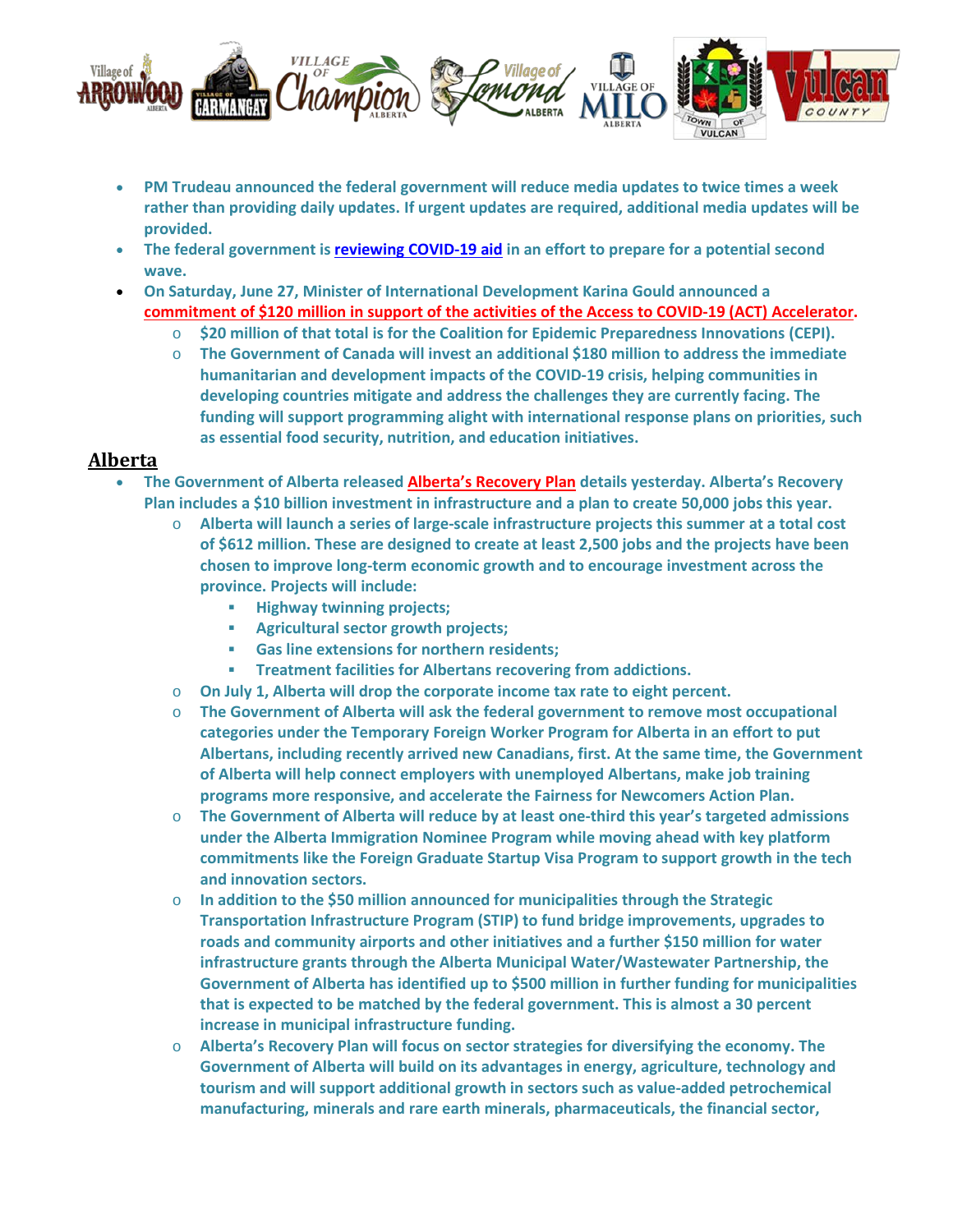

- **PM Trudeau announced the federal government will reduce media updates to twice times a week rather than providing daily updates. If urgent updates are required, additional media updates will be provided.**
- **The federal government is [reviewing COVID-19 aid](https://vancouversun.com/news/local-news/covid-19-update-for-june-29-heres-the-latest-on-coronavirus-in-b-c) in an effort to prepare for a potential second wave.**
- **On Saturday, June 27, Minister of International Development Karina Gould announced a [commitment of \\$120 million in support of the activities of the Access to COVID-19 \(ACT\) Accelerator.](https://www.canada.ca/en/global-affairs/news/2020/06/canada-announces-support-for-equitable-access-to-new-covid-19-medical-solutions.html)**
	- o **\$20 million of that total is for the Coalition for Epidemic Preparedness Innovations (CEPI).**
	- o **The Government of Canada will invest an additional \$180 million to address the immediate humanitarian and development impacts of the COVID-19 crisis, helping communities in developing countries mitigate and address the challenges they are currently facing. The funding will support programming alight with international response plans on priorities, such as essential food security, nutrition, and education initiatives.**

## **Alberta**

- **The Government of Alberta released [Alberta's Recovery Plan](https://www.alberta.ca/release.cfm?xID=727120D7B418C-DF0C-FB14-235849A8D5356268) details yesterday. Alberta's Recovery Plan includes a \$10 billion investment in infrastructure and a plan to create 50,000 jobs this year.**
	- o **Alberta will launch a series of large-scale infrastructure projects this summer at a total cost of \$612 million. These are designed to create at least 2,500 jobs and the projects have been chosen to improve long-term economic growth and to encourage investment across the province. Projects will include:**
		- **Highway twinning projects;**
		- **Agricultural sector growth projects;**
		- **Gas line extensions for northern residents;**
		- **Treatment facilities for Albertans recovering from addictions.**
	- o **On July 1, Alberta will drop the corporate income tax rate to eight percent.**
	- o **The Government of Alberta will ask the federal government to remove most occupational categories under the Temporary Foreign Worker Program for Alberta in an effort to put Albertans, including recently arrived new Canadians, first. At the same time, the Government of Alberta will help connect employers with unemployed Albertans, make job training programs more responsive, and accelerate the Fairness for Newcomers Action Plan.**
	- o **The Government of Alberta will reduce by at least one-third this year's targeted admissions under the Alberta Immigration Nominee Program while moving ahead with key platform commitments like the Foreign Graduate Startup Visa Program to support growth in the tech and innovation sectors.**
	- o **In addition to the \$50 million announced for municipalities through the Strategic Transportation Infrastructure Program (STIP) to fund bridge improvements, upgrades to roads and community airports and other initiatives and a further \$150 million for water infrastructure grants through the Alberta Municipal Water/Wastewater Partnership, the Government of Alberta has identified up to \$500 million in further funding for municipalities that is expected to be matched by the federal government. This is almost a 30 percent increase in municipal infrastructure funding.**
	- o **Alberta's Recovery Plan will focus on sector strategies for diversifying the economy. The Government of Alberta will build on its advantages in energy, agriculture, technology and tourism and will support additional growth in sectors such as value-added petrochemical manufacturing, minerals and rare earth minerals, pharmaceuticals, the financial sector,**